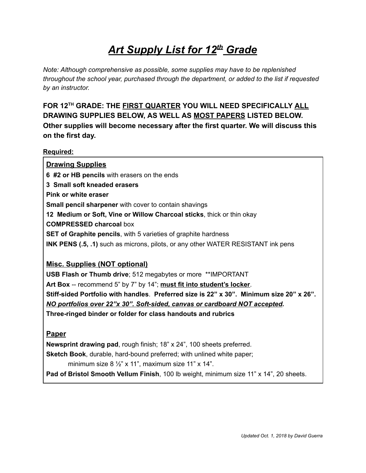# *Art Supply List for 12 th Grade*

*Note: Although comprehensive as possible, some supplies may have to be replenished throughout the school year, purchased through the department, or added to the list if requested by an instructor.*

**FOR 12 TH GRADE: THE FIRST QUARTERYOU WILL NEED SPECIFICALLY ALL DRAWING SUPPLIES BELOW, AS WELL AS MOST PAPERSLISTED BELOW. Other supplies will become necessary after the first quarter. We will discuss this on the first day.**

#### **Required:**

| <b>Drawing Supplies</b>                                                                  |
|------------------------------------------------------------------------------------------|
| 6 #2 or HB pencils with erasers on the ends                                              |
| 3 Small soft kneaded erasers                                                             |
| Pink or white eraser                                                                     |
| <b>Small pencil sharpener</b> with cover to contain shavings                             |
| 12 Medium or Soft, Vine or Willow Charcoal sticks, thick or thin okay                    |
| <b>COMPRESSED charcoal box</b>                                                           |
| <b>SET of Graphite pencils, with 5 varieties of graphite hardness</b>                    |
| <b>INK PENS (.5, .1)</b> such as microns, pilots, or any other WATER RESISTANT ink pens  |
|                                                                                          |
| <b>Misc. Supplies (NOT optional)</b>                                                     |
| <b>USB Flash or Thumb drive</b> ; 512 megabytes or more **IMPORTANT                      |
| Art Box -- recommend 5" by 7" by 14"; must fit into student's locker.                    |
| Stiff-sided Portfolio with handles. Preferred size is 22" x 30". Minimum size 20" x 26". |
| <u>NO portfolios over 22"x 30". Soft-sided, canvas or cardboard NOT accepted.</u>        |
| Three-ringed binder or folder for class handouts and rubrics                             |
|                                                                                          |

#### **Paper**

**Newsprint drawing pad**, rough finish; 18" x 24", 100 sheets preferred.

**Sketch Book**, durable, hard-bound preferred; with unlined white paper;

minimum size  $8\frac{1}{2}$ " x 11", maximum size 11" x 14".

**Pad of Bristol Smooth Vellum Finish**, 100 lb weight, minimum size 11" x 14", 20 sheets.